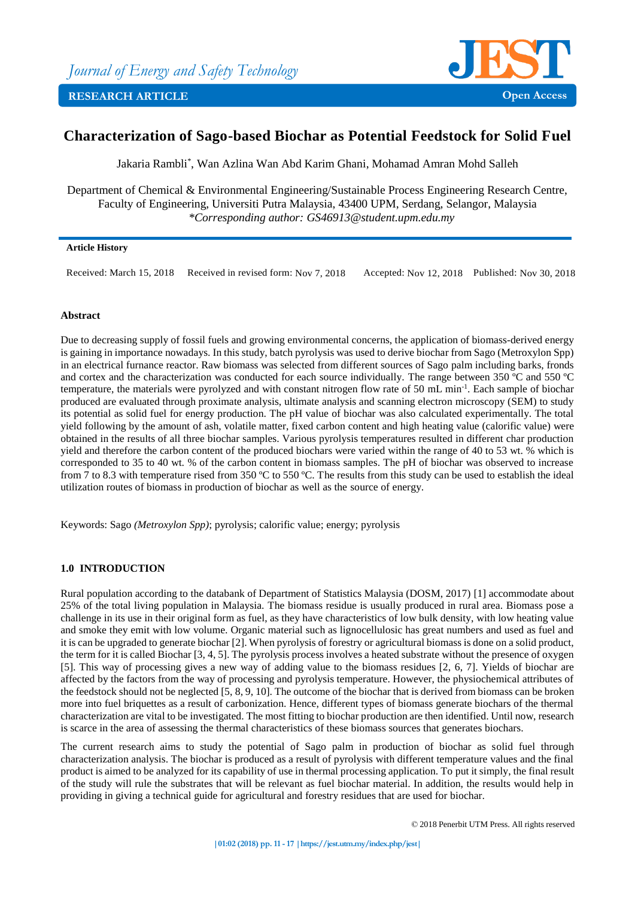

# **Characterization of Sago-based Biochar as Potential Feedstock for Solid Fuel**

Jakaria Rambli\* , Wan Azlina Wan Abd Karim Ghani, Mohamad Amran Mohd Salleh

Department of Chemical & Environmental Engineering/Sustainable Process Engineering Research Centre, Faculty of Engineering, Universiti Putra Malaysia, 43400 UPM, Serdang, Selangor, Malaysia *\*Corresponding author: GS46913@student.upm.edu.my*

# **Article History**

Received: March 15, 2018 Received in revised form: Nov 7, 2018 Accepted: Nov 12, 2018 Published: Nov 30, 2018

# **Abstract**

Due to decreasing supply of fossil fuels and growing environmental concerns, the application of biomass-derived energy is gaining in importance nowadays. In this study, batch pyrolysis was used to derive biochar from Sago (Metroxylon Spp) in an electrical furnance reactor. Raw biomass was selected from different sources of Sago palm including barks, fronds and cortex and the characterization was conducted for each source individually. The range between 350 ºC and 550 ºC temperature, the materials were pyrolyzed and with constant nitrogen flow rate of 50 mL min<sup>-1</sup>. Each sample of biochar produced are evaluated through proximate analysis, ultimate analysis and scanning electron microscopy (SEM) to study its potential as solid fuel for energy production. The pH value of biochar was also calculated experimentally. The total yield following by the amount of ash, volatile matter, fixed carbon content and high heating value (calorific value) were obtained in the results of all three biochar samples. Various pyrolysis temperatures resulted in different char production yield and therefore the carbon content of the produced biochars were varied within the range of 40 to 53 wt. % which is corresponded to 35 to 40 wt. % of the carbon content in biomass samples. The pH of biochar was observed to increase from 7 to 8.3 with temperature rised from 350 ºC to 550 ºC. The results from this study can be used to establish the ideal utilization routes of biomass in production of biochar as well as the source of energy.

Keywords: Sago *(Metroxylon Spp)*; pyrolysis; calorific value; energy; pyrolysis

# **1.0 INTRODUCTION**

Rural population according to the databank of Department of Statistics Malaysia (DOSM, 2017) [1] accommodate about 25% of the total living population in Malaysia. The biomass residue is usually produced in rural area. Biomass pose a challenge in its use in their original form as fuel, as they have characteristics of low bulk density, with low heating value and smoke they emit with low volume. Organic material such as lignocellulosic has great numbers and used as fuel and it is can be upgraded to generate biochar [2]. When pyrolysis of forestry or agricultural biomass is done on a solid product, the term for it is called Biochar [3, 4, 5]. The pyrolysis process involves a heated substrate without the presence of oxygen [5]. This way of processing gives a new way of adding value to the biomass residues [2, 6, 7]. Yields of biochar are affected by the factors from the way of processing and pyrolysis temperature. However, the physiochemical attributes of the feedstock should not be neglected [5, 8, 9, 10]. The outcome of the biochar that is derived from biomass can be broken more into fuel briquettes as a result of carbonization. Hence, different types of biomass generate biochars of the thermal characterization are vital to be investigated. The most fitting to biochar production are then identified. Until now, research is scarce in the area of assessing the thermal characteristics of these biomass sources that generates biochars.

The current research aims to study the potential of Sago palm in production of biochar as solid fuel through characterization analysis. The biochar is produced as a result of pyrolysis with different temperature values and the final product is aimed to be analyzed for its capability of use in thermal processing application. To put it simply, the final result of the study will rule the substrates that will be relevant as fuel biochar material. In addition, the results would help in providing in giving a technical guide for agricultural and forestry residues that are used for biochar.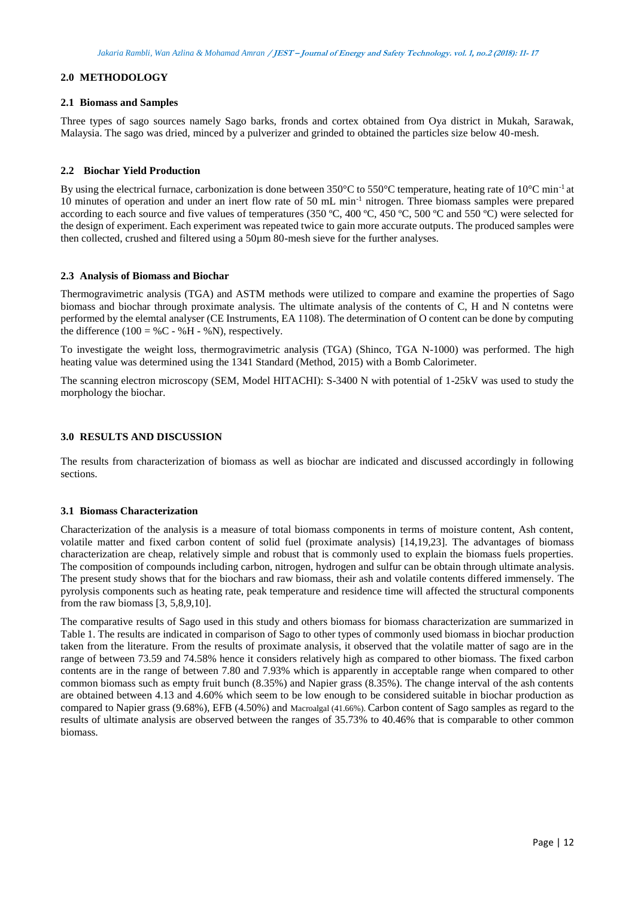# **2.0 METHODOLOGY**

### **2.1 Biomass and Samples**

Three types of sago sources namely Sago barks, fronds and cortex obtained from Oya district in Mukah, Sarawak, Malaysia. The sago was dried, minced by a pulverizer and grinded to obtained the particles size below 40-mesh.

### **2.2 Biochar Yield Production**

By using the electrical furnace, carbonization is done between 350°C to 550°C temperature, heating rate of 10°C min<sup>-1</sup> at 10 minutes of operation and under an inert flow rate of 50 mL min-1 nitrogen. Three biomass samples were prepared according to each source and five values of temperatures (350 °C, 400 °C, 450 °C, 500 °C and 550 °C) were selected for the design of experiment. Each experiment was repeated twice to gain more accurate outputs. The produced samples were then collected, crushed and filtered using a 50µm 80-mesh sieve for the further analyses.

## **2.3 Analysis of Biomass and Biochar**

Thermogravimetric analysis (TGA) and ASTM methods were utilized to compare and examine the properties of Sago biomass and biochar through proximate analysis. The ultimate analysis of the contents of C, H and N contetns were performed by the elemtal analyser (CE Instruments, EA 1108). The determination of O content can be done by computing the difference (100 = %C - %H - %N), respectively.

To investigate the weight loss, thermogravimetric analysis (TGA) (Shinco, TGA N-1000) was performed. The high heating value was determined using the 1341 Standard (Method, 2015) with a Bomb Calorimeter.

The scanning electron microscopy (SEM, Model HITACHI): S-3400 N with potential of 1-25kV was used to study the morphology the biochar.

# **3.0 RESULTS AND DISCUSSION**

The results from characterization of biomass as well as biochar are indicated and discussed accordingly in following sections.

#### **3.1 Biomass Characterization**

Characterization of the analysis is a measure of total biomass components in terms of moisture content, Ash content, volatile matter and fixed carbon content of solid fuel (proximate analysis) [14,19,23]. The advantages of biomass characterization are cheap, relatively simple and robust that is commonly used to explain the biomass fuels properties. The composition of compounds including carbon, nitrogen, hydrogen and sulfur can be obtain through ultimate analysis. The present study shows that for the biochars and raw biomass, their ash and volatile contents differed immensely. The pyrolysis components such as heating rate, peak temperature and residence time will affected the structural components from the raw biomass [3, 5,8,9,10].

The comparative results of Sago used in this study and others biomass for biomass characterization are summarized in Table 1. The results are indicated in comparison of Sago to other types of commonly used biomass in biochar production taken from the literature. From the results of proximate analysis, it observed that the volatile matter of sago are in the range of between 73.59 and 74.58% hence it considers relatively high as compared to other biomass. The fixed carbon contents are in the range of between 7.80 and 7.93% which is apparently in acceptable range when compared to other common biomass such as empty fruit bunch (8.35%) and Napier grass (8.35%). The change interval of the ash contents are obtained between 4.13 and 4.60% which seem to be low enough to be considered suitable in biochar production as compared to Napier grass (9.68%), EFB (4.50%) and Macroalgal (41.66%). Carbon content of Sago samples as regard to the results of ultimate analysis are observed between the ranges of 35.73% to 40.46% that is comparable to other common biomass.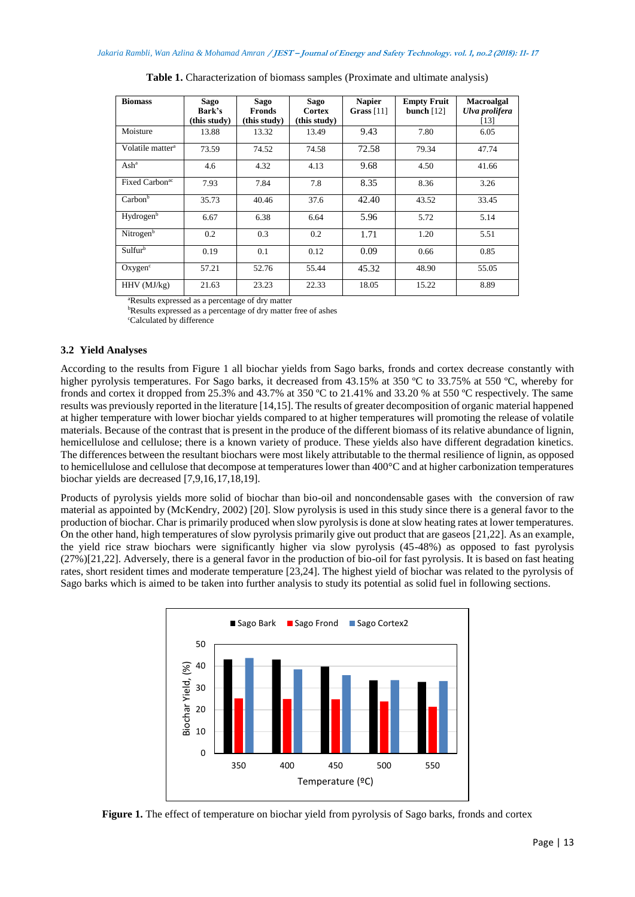| <b>Biomass</b>               | Sago<br>Bark's<br>(this study) | Sago<br>Fronds<br>(this study) | Sago<br>Cortex<br>(this study) | <b>Napier</b><br>Grass $[11]$ | <b>Empty Fruit</b><br>bunch $[12]$ | <b>Macroalgal</b><br>Ulva prolifera<br>[13] |
|------------------------------|--------------------------------|--------------------------------|--------------------------------|-------------------------------|------------------------------------|---------------------------------------------|
| Moisture                     | 13.88                          | 13.32                          | 13.49                          | 9.43                          | 7.80                               | 6.05                                        |
| Volatile matter <sup>a</sup> | 73.59                          | 74.52                          | 74.58                          | 72.58                         | 79.34                              | 47.74                                       |
| $\mathrm{Ash}^a$             | 4.6                            | 4.32                           | 4.13                           | 9.68                          | 4.50                               | 41.66                                       |
| Fixed Carbon <sup>ac</sup>   | 7.93                           | 7.84                           | 7.8                            | 8.35                          | 8.36                               | 3.26                                        |
| Carbon <sup>b</sup>          | 35.73                          | 40.46                          | 37.6                           | 42.40                         | 43.52                              | 33.45                                       |
| Hydrogen <sup>b</sup>        | 6.67                           | 6.38                           | 6.64                           | 5.96                          | 5.72                               | 5.14                                        |
| Nitrogen <sup>b</sup>        | 0.2                            | 0.3                            | 0.2                            | 1.71                          | 1.20                               | 5.51                                        |
| Sulfur <sup>b</sup>          | 0.19                           | 0.1                            | 0.12                           | 0.09                          | 0.66                               | 0.85                                        |
| Oxygen <sup>c</sup>          | 57.21                          | 52.76                          | 55.44                          | 45.32                         | 48.90                              | 55.05                                       |
| $HHV$ ( $MJ/kg$ )            | 21.63                          | 23.23                          | 22.33                          | 18.05                         | 15.22                              | 8.89                                        |

**Table 1.** Characterization of biomass samples (Proximate and ultimate analysis)

<sup>a</sup>Results expressed as a percentage of dry matter

<sup>b</sup>Results expressed as a percentage of dry matter free of ashes

<sup>c</sup>Calculated by difference

## **3.2 Yield Analyses**

According to the results from Figure 1 all biochar yields from Sago barks, fronds and cortex decrease constantly with higher pyrolysis temperatures. For Sago barks, it decreased from 43.15% at 350 °C to 33.75% at 550 °C, whereby for fronds and cortex it dropped from 25.3% and 43.7% at 350 ºC to 21.41% and 33.20 % at 550 ºC respectively. The same results was previously reported in the literature [14,15]. The results of greater decomposition of organic material happened at higher temperature with lower biochar yields compared to at higher temperatures will promoting the release of volatile materials. Because of the contrast that is present in the produce of the different biomass of its relative abundance of lignin, hemicellulose and cellulose; there is a known variety of produce. These yields also have different degradation kinetics. The differences between the resultant biochars were most likely attributable to the thermal resilience of lignin, as opposed to hemicellulose and cellulose that decompose at temperatures lower than 400°C and at higher carbonization temperatures biochar yields are decreased [7,9,16,17,18,19].

Products of pyrolysis yields more solid of biochar than bio-oil and noncondensable gases with the conversion of raw material as appointed by (McKendry, 2002) [20]. Slow pyrolysis is used in this study since there is a general favor to the production of biochar. Char is primarily produced when slow pyrolysis is done at slow heating rates at lower temperatures. On the other hand, high temperatures of slow pyrolysis primarily give out product that are gaseos [21,22]. As an example, the yield rice straw biochars were significantly higher via slow pyrolysis (45-48%) as opposed to fast pyrolysis  $(27%)$ [21,22]. Adversely, there is a general favor in the production of bio-oil for fast pyrolysis. It is based on fast heating rates, short resident times and moderate temperature [23,24]. The highest yield of biochar was related to the pyrolysis of Sago barks which is aimed to be taken into further analysis to study its potential as solid fuel in following sections.



**Figure 1.** The effect of temperature on biochar yield from pyrolysis of Sago barks, fronds and cortex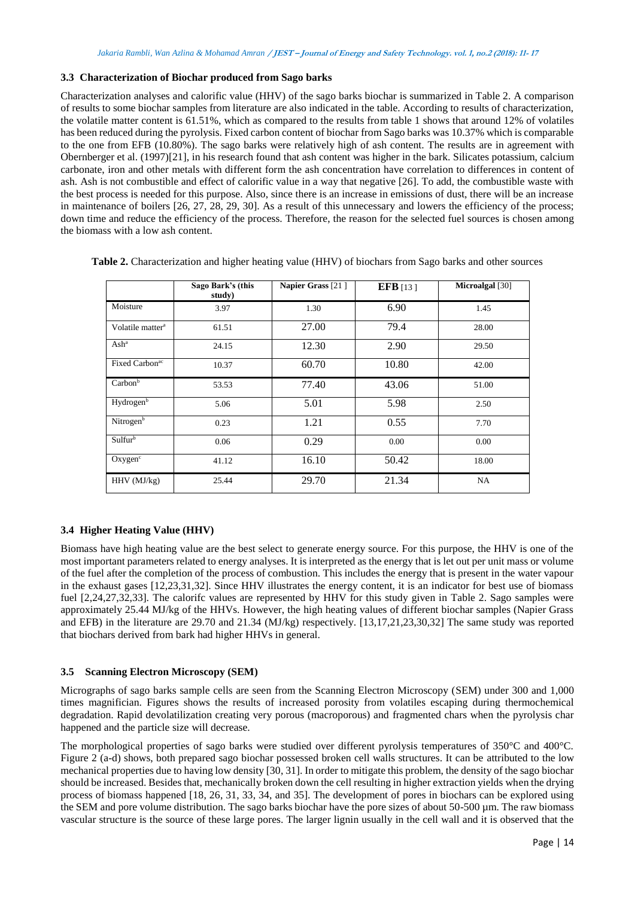# **3.3 Characterization of Biochar produced from Sago barks**

Characterization analyses and calorific value (HHV) of the sago barks biochar is summarized in Table 2. A comparison of results to some biochar samples from literature are also indicated in the table. According to results of characterization, the volatile matter content is 61.51%, which as compared to the results from table 1 shows that around 12% of volatiles has been reduced during the pyrolysis. Fixed carbon content of biochar from Sago barks was 10.37% which is comparable to the one from EFB (10.80%). The sago barks were relatively high of ash content. The results are in agreement with Obernberger et al. (1997)[21], in his research found that ash content was higher in the bark. Silicates potassium, calcium carbonate, iron and other metals with different form the ash concentration have correlation to differences in content of ash. Ash is not combustible and effect of calorific value in a way that negative [26]. To add, the combustible waste with the best process is needed for this purpose. Also, since there is an increase in emissions of dust, there will be an increase in maintenance of boilers [26, 27, 28, 29, 30]. As a result of this unnecessary and lowers the efficiency of the process; down time and reduce the efficiency of the process. Therefore, the reason for the selected fuel sources is chosen among the biomass with a low ash content.

|                              | Sago Bark's (this<br>study) | Napier Grass [21] | EFB $[13]$ | <b>Microalgal</b> [30] |
|------------------------------|-----------------------------|-------------------|------------|------------------------|
| Moisture                     | 3.97                        | 1.30              | 6.90       | 1.45                   |
| Volatile matter <sup>a</sup> | 61.51                       | 27.00             | 79.4       | 28.00                  |
| Ash <sup>a</sup>             | 24.15                       | 12.30             | 2.90       | 29.50                  |
| Fixed Carbon <sup>ac</sup>   | 10.37                       | 60.70             | 10.80      | 42.00                  |
| Carbon <sup>b</sup>          | 53.53                       | 77.40             | 43.06      | 51.00                  |
| Hydrogen <sup>b</sup>        | 5.06                        | 5.01              | 5.98       | 2.50                   |
| Nitrogen <sup>b</sup>        | 0.23                        | 1.21              | 0.55       | 7.70                   |
| Sulfurb                      | 0.06                        | 0.29              | 0.00       | 0.00                   |
| Oxygen <sup>c</sup>          | 41.12                       | 16.10             | 50.42      | 18.00                  |
| $HHV$ ( $MJ/kg$ )            | 25.44                       | 29.70             | 21.34      | NA                     |

**Table 2.** Characterization and higher heating value (HHV) of biochars from Sago barks and other sources

# **3.4 Higher Heating Value (HHV)**

Biomass have high heating value are the best select to generate energy source. For this purpose, the HHV is one of the most important parameters related to energy analyses. It is interpreted as the energy that is let out per unit mass or volume of the fuel after the completion of the process of combustion. This includes the energy that is present in the water vapour in the exhaust gases [12,23,31,32]. Since HHV illustrates the energy content, it is an indicator for best use of biomass fuel [2,24,27,32,33]. The calorifc values are represented by HHV for this study given in Table 2. Sago samples were approximately 25.44 MJ/kg of the HHVs. However, the high heating values of different biochar samples (Napier Grass and EFB) in the literature are 29.70 and 21.34 (MJ/kg) respectively. [13,17,21,23,30,32] The same study was reported that biochars derived from bark had higher HHVs in general.

## **3.5 Scanning Electron Microscopy (SEM)**

Micrographs of sago barks sample cells are seen from the Scanning Electron Microscopy (SEM) under 300 and 1,000 times magnifician. Figures shows the results of increased porosity from volatiles escaping during thermochemical degradation. Rapid devolatilization creating very porous (macroporous) and fragmented chars when the pyrolysis char happened and the particle size will decrease.

The morphological properties of sago barks were studied over different pyrolysis temperatures of 350°C and 400°C. Figure 2 (a-d) shows, both prepared sago biochar possessed broken cell walls structures. It can be attributed to the low mechanical properties due to having low density [30, 31]. In order to mitigate this problem, the density of the sago biochar should be increased. Besides that, mechanically broken down the cell resulting in higher extraction yields when the drying process of biomass happened [18, 26, 31, 33, 34, and 35]. The development of pores in biochars can be explored using the SEM and pore volume distribution. The sago barks biochar have the pore sizes of about 50-500 µm. The raw biomass vascular structure is the source of these large pores. The larger lignin usually in the cell wall and it is observed that the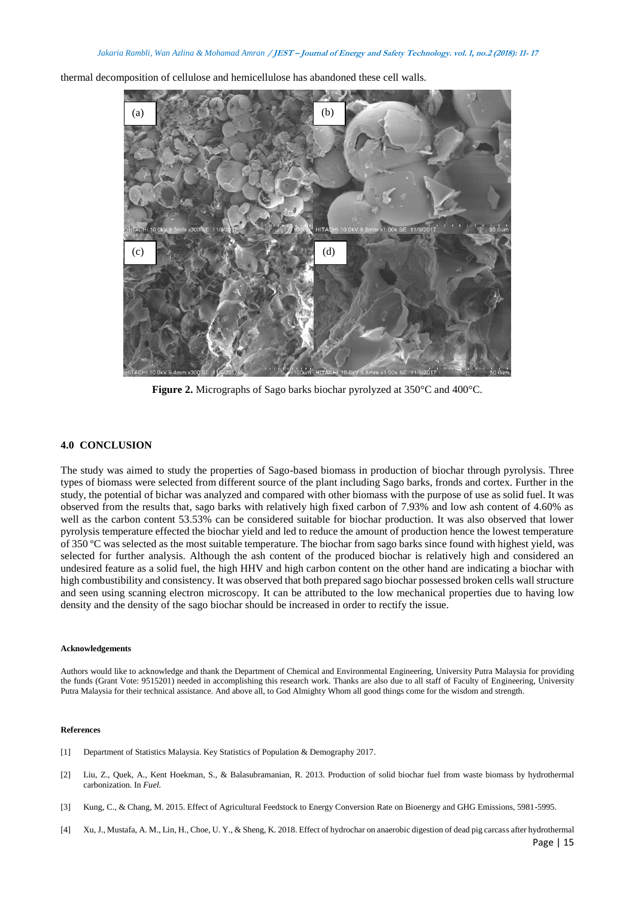thermal decomposition of cellulose and hemicellulose has abandoned these cell walls.



**Figure 2.** Micrographs of Sago barks biochar pyrolyzed at 350°C and 400°C.

### **4.0 CONCLUSION**

The study was aimed to study the properties of Sago-based biomass in production of biochar through pyrolysis. Three types of biomass were selected from different source of the plant including Sago barks, fronds and cortex. Further in the study, the potential of bichar was analyzed and compared with other biomass with the purpose of use as solid fuel. It was observed from the results that, sago barks with relatively high fixed carbon of 7.93% and low ash content of 4.60% as well as the carbon content 53.53% can be considered suitable for biochar production. It was also observed that lower pyrolysis temperature effected the biochar yield and led to reduce the amount of production hence the lowest temperature of 350 ºC was selected as the most suitable temperature. The biochar from sago barks since found with highest yield, was selected for further analysis. Although the ash content of the produced biochar is relatively high and considered an undesired feature as a solid fuel, the high HHV and high carbon content on the other hand are indicating a biochar with high combustibility and consistency. It was observed that both prepared sago biochar possessed broken cells wall structure and seen using scanning electron microscopy. It can be attributed to the low mechanical properties due to having low density and the density of the sago biochar should be increased in order to rectify the issue.

#### **Acknowledgements**

Authors would like to acknowledge and thank the Department of Chemical and Environmental Engineering, University Putra Malaysia for providing the funds (Grant Vote: 9515201) needed in accomplishing this research work. Thanks are also due to all staff of Faculty of Engineering, University Putra Malaysia for their technical assistance. And above all, to God Almighty Whom all good things come for the wisdom and strength.

### **References**

- [1] Department of Statistics Malaysia. Key Statistics of Population & Demography 2017.
- [2] Liu, Z., Quek, A., Kent Hoekman, S., & Balasubramanian, R. 2013. Production of solid biochar fuel from waste biomass by hydrothermal carbonization. In *Fuel.*
- [3] Kung, C., & Chang, M. 2015. Effect of Agricultural Feedstock to Energy Conversion Rate on Bioenergy and GHG Emissions, 5981-5995.
- [4] Xu, J., Mustafa, A. M., Lin, H., Choe, U. Y., & Sheng, K. 2018. Effect of hydrochar on anaerobic digestion of dead pig carcass after hydrothermal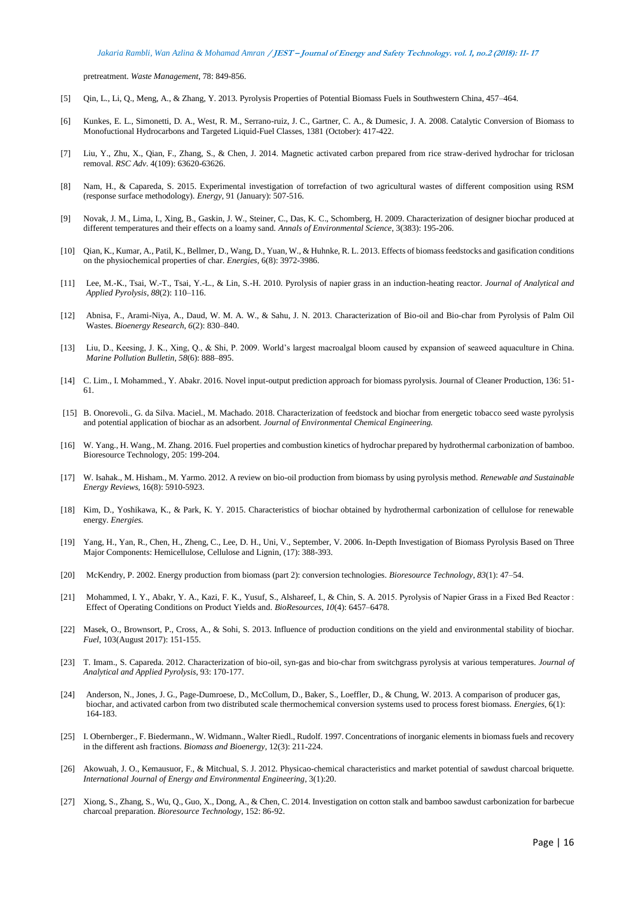pretreatment. *Waste Management*, 78: 849-856.

- [5] Qin, L., Li, Q., Meng, A., & Zhang, Y. 2013. Pyrolysis Properties of Potential Biomass Fuels in Southwestern China, 457–464.
- [6] Kunkes, E. L., Simonetti, D. A., West, R. M., Serrano-ruiz, J. C., Gartner, C. A., & Dumesic, J. A. 2008. Catalytic Conversion of Biomass to Monofuctional Hydrocarbons and Targeted Liquid-Fuel Classes, 1381 (October): 417-422.
- [7] Liu, Y., Zhu, X., Qian, F., Zhang, S., & Chen, J. 2014. Magnetic activated carbon prepared from rice straw-derived hydrochar for triclosan removal. *RSC Adv*. 4(109): 63620-63626.
- [8] Nam, H., & Capareda, S. 2015. Experimental investigation of torrefaction of two agricultural wastes of different composition using RSM (response surface methodology). *Energy,* 91 (January): 507-516.
- [9] Novak, J. M., Lima, I., Xing, B., Gaskin, J. W., Steiner, C., Das, K. C., Schomberg, H. 2009. Characterization of designer biochar produced at different temperatures and their effects on a loamy sand. *Annals of Environmental Science*, 3(383): 195-206.
- [10] Qian, K., Kumar, A., Patil, K., Bellmer, D., Wang, D., Yuan, W., & Huhnke, R. L. 2013. Effects of biomass feedstocks and gasification conditions on the physiochemical properties of char. *Energies,* 6(8): 3972-3986.
- [11] Lee, M.-K., Tsai, W.-T., Tsai, Y.-L., & Lin, S.-H. 2010. Pyrolysis of napier grass in an induction-heating reactor. *Journal of Analytical and Applied Pyrolysis*, *88*(2): 110–116.
- [12] Abnisa, F., Arami-Niya, A., Daud, W. M. A. W., & Sahu, J. N. 2013. Characterization of Bio-oil and Bio-char from Pyrolysis of Palm Oil Wastes. *Bioenergy Research*, *6*(2): 830–840.
- [13] Liu, D., Keesing, J. K., Xing, Q., & Shi, P. 2009. World's largest macroalgal bloom caused by expansion of seaweed aquaculture in China. *Marine Pollution Bulletin*, *58*(6): 888–895.
- [14] C. Lim., I. Mohammed., Y. Abakr. 2016. Novel input-output prediction approach for biomass pyrolysis. Journal of Cleaner Production, 136: 51- 61.
- [15] B. Onorevoli., G. da Silva. Maciel., M. Machado. 2018. Characterization of feedstock and biochar from energetic tobacco seed waste pyrolysis and potential application of biochar as an adsorbent*. Journal of Environmental Chemical Engineering.*
- [16] W. Yang., H. Wang., M. Zhang. 2016. Fuel properties and combustion kinetics of hydrochar prepared by hydrothermal carbonization of bamboo. Bioresource Technology, 205: 199-204.
- [17] W. Isahak., M. Hisham., M. Yarmo. 2012. A review on bio-oil production from biomass by using pyrolysis method. *Renewable and Sustainable Energy Reviews,* 16(8): 5910-5923.
- [18] Kim, D., Yoshikawa, K., & Park, K. Y. 2015. Characteristics of biochar obtained by hydrothermal carbonization of cellulose for renewable energy. *Energies.*
- [19] Yang, H., Yan, R., Chen, H., Zheng, C., Lee, D. H., Uni, V., September, V. 2006. In-Depth Investigation of Biomass Pyrolysis Based on Three Major Components: Hemicellulose, Cellulose and Lignin, (17): 388-393.
- [20] McKendry, P. 2002. Energy production from biomass (part 2): conversion technologies. *Bioresource Technology*, *83*(1): 47–54.
- [21] Mohammed, I. Y., Abakr, Y. A., Kazi, F. K., Yusuf, S., Alshareef, I., & Chin, S. A. 2015. Pyrolysis of Napier Grass in a Fixed Bed Reactor : Effect of Operating Conditions on Product Yields and. *BioResources*, *10*(4): 6457–6478.
- [22] Masek, O., Brownsort, P., Cross, A., & Sohi, S. 2013. Influence of production conditions on the yield and environmental stability of biochar. *Fuel*, 103(August 2017): 151-155.
- [23] T. Imam., S. Capareda. 2012. Characterization of bio-oil, syn-gas and bio-char from switchgrass pyrolysis at various temperatures. *Journal of Analytical and Applied Pyrolysis*, 93: 170-177.
- [24] Anderson, N., Jones, J. G., Page-Dumroese, D., McCollum, D., Baker, S., Loeffler, D., & Chung, W. 2013. A comparison of producer gas, biochar, and activated carbon from two distributed scale thermochemical conversion systems used to process forest biomass. *Energies*, 6(1): 164-183.
- [25] I. Obernberger., F. Biedermann., W. Widmann., Walter Riedl., Rudolf. 1997. Concentrations of inorganic elements in biomass fuels and recovery in the different ash fractions. *Biomass and Bioenergy*, 12(3): 211-224.
- [26] Akowuah, J. O., Kemausuor, F., & Mitchual, S. J. 2012. Physicao-chemical characteristics and market potential of sawdust charcoal briquette. *International Journal of Energy and Environmental Engineering*, 3(1):20.
- [27] Xiong, S., Zhang, S., Wu, Q., Guo, X., Dong, A., & Chen, C. 2014. Investigation on cotton stalk and bamboo sawdust carbonization for barbecue charcoal preparation. *Bioresource Technology*, 152: 86-92.